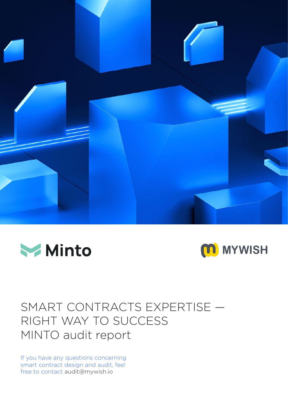





# SMART CONTRACTS EXPERTISE — RIGHT WAY TO SUCCESS MINTO audit report

If you have any questions concerning smart contract design and audit, feel free to contact audit@mywish.io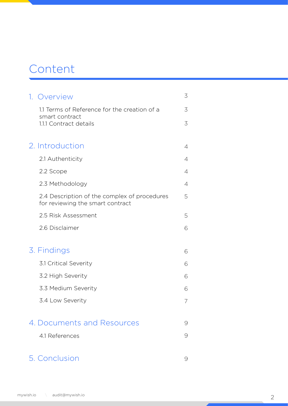## Сontent

| 1. Overview                                                                      | 3 |
|----------------------------------------------------------------------------------|---|
| 1.1 Terms of Reference for the creation of a                                     | 3 |
| smart contract<br>1.1.1 Contract details                                         | 3 |
|                                                                                  |   |
| 2. Introduction                                                                  | 4 |
| 2.1 Authenticity                                                                 | 4 |
| 2.2 Scope                                                                        | 4 |
| 2.3 Methodology                                                                  | 4 |
| 2.4 Description of the complex of procedures<br>for reviewing the smart contract | 5 |
| 2.5 Risk Assessment                                                              | 5 |
| 2.6 Disclaimer                                                                   | 6 |
|                                                                                  |   |
| 3. Findings                                                                      | 6 |
| 3.1 Critical Severity                                                            | 6 |
| 3.2 High Severity                                                                | 6 |
| 3.3 Medium Severity                                                              | 6 |
| 3.4 Low Severity                                                                 | 7 |
| 4. Documents and Resources                                                       |   |
|                                                                                  | 9 |
| 4.1 References                                                                   | 9 |
| 5. Conclusion                                                                    | 9 |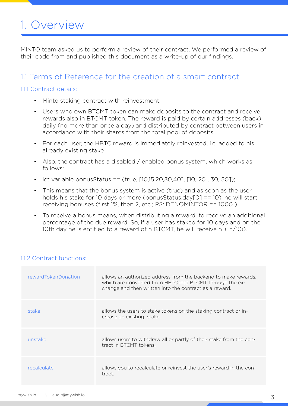# 1. Overview

MINTO team asked us to perform a review of their contract. We performed a review of their code from and published this document as a write-up of our findings.

#### 1.1 Terms of Reference for the creation of a smart contract

#### 111 Contract details:

- Minto staking contract with reinvestment.
- Users who own BTCMT token can make deposits to the contract and receive rewards also in BTCMT token. The reward is paid by certain addresses (back) daily (no more than once a day) and distributed by contract between users in accordance with their shares from the total pool of deposits.
- For each user, the HBTC reward is immediately reinvested, i.e. added to his already existing stake
- Also, the contract has a disabled / enabled bonus system, which works as follows:
- let variable bonusStatus == (true,  $[10,15,20,30,40]$ ,  $[10, 20, 30, 50]$ );
- This means that the bonus system is active (true) and as soon as the user holds his stake for 10 days or more (bonusStatus.day[0] == 10), he will start receiving bonuses (first 1%, then 2, etc.; PS: DENOMINTOR == 1000 )
- To receive a bonus means, when distributing a reward, to receive an additional percentage of the due reward. So, if a user has staked for 10 days and on the 10th day he is entitled to a reward of n BTCMT, he will receive n + n/100.

| rewardTokenDonation | allows an authorized address from the backend to make rewards,<br>which are converted from HBTC into BTCMT through the ex-<br>change and then written into the contract as a reward. |
|---------------------|--------------------------------------------------------------------------------------------------------------------------------------------------------------------------------------|
| stake               | allows the users to stake tokens on the staking contract or in-<br>crease an existing stake.                                                                                         |
| unstake             | allows users to withdraw all or partly of their stake from the con-<br>tract in BTCMT tokens.                                                                                        |
| recalculate         | allows you to recalculate or reinvest the user's reward in the con-<br>tract.                                                                                                        |

#### 1.1.2 Contract functions: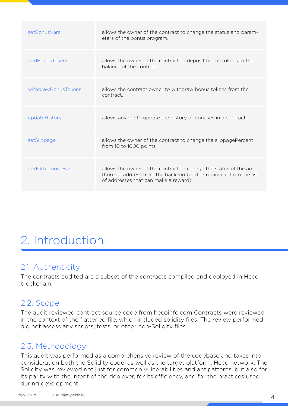| setBonusVars        | allows the owner of the contract to change the status and param-<br>eters of the bonus program.                                                                                |
|---------------------|--------------------------------------------------------------------------------------------------------------------------------------------------------------------------------|
| addBonusTokens      | allows the owner of the contract to deposit bonus tokens to the<br>balance of the contract.                                                                                    |
| withdrawBonusTokens | allows the contract owner to withdraw bonus tokens from the<br>contract.                                                                                                       |
| updateHistory       | allows anyone to update the history of bonuses in a contract.                                                                                                                  |
| setSlippage         | allows the owner of the contract to change the slippagePercent<br>from 10 to 1000 points.                                                                                      |
| addOrRemoveBack     | allows the owner of the contract to change the status of the au-<br>thorized address from the backend (add or remove it from the list<br>of addresses that can make a reward). |

# 2. Introduction

### 2.1. Authenticity

The contracts audited are a subset of the contracts compiled and deployed in Heco blockchain.

### 2.2. Scope

The audit reviewed contract source code from hecoinfo.com Contracts were reviewed in the context of the flattened file, which included solidity files. The review performed did not assess any scripts, tests, or other non-Solidity files.

### 2.3. Methodology

This audit was performed as a comprehensive review of the codebase and takes into consideration both the Solidity code, as well as the target platform: Heco network. The Solidity was reviewed not just for common vulnerabilities and antipatterns, but also for its parity with the intent of the deployer, for its efficiency, and for the practices used during development.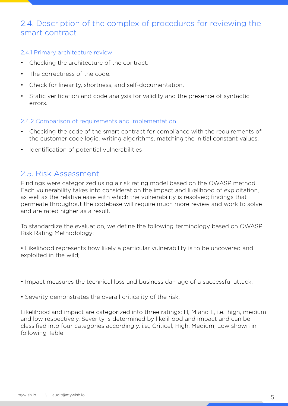### 2.4. Description of the complex of procedures for reviewing the smart contract

#### 2.4.1 Primary architecture review

- Checking the architecture of the contract.
- The correctness of the code.
- Check for linearity, shortness, and self-documentation.
- Static verification and code analysis for validity and the presence of syntactic errors.

#### 2.4.2 Comparison of requirements and implementation

- Checking the code of the smart contract for compliance with the requirements of the customer code logic, writing algorithms, matching the initial constant values.
- Identification of potential vulnerabilities

#### 2.5. Risk Assessment

Findings were categorized using a risk rating model based on the OWASP method. Each vulnerability takes into consideration the impact and likelihood of exploitation, as well as the relative ease with which the vulnerability is resolved; findings that permeate throughout the codebase will require much more review and work to solve and are rated higher as a result.

To standardize the evaluation, we define the following terminology based on OWASP Risk Rating Methodology:

• Likelihood represents how likely a particular vulnerability is to be uncovered and exploited in the wild;

- Impact measures the technical loss and business damage of a successful attack;
- Severity demonstrates the overall criticality of the risk;

Likelihood and impact are categorized into three ratings: H, M and L, i.e., high, medium and low respectively. Severity is determined by likelihood and impact and can be classified into four categories accordingly, i.e., Critical, High, Medium, Low shown in following Table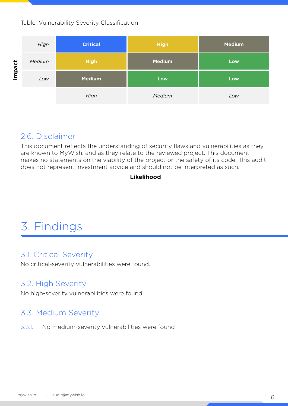Table: Vulnerability Severity Classification



#### 2.6. Disclaimer

This document reflects the understanding of security flaws and vulnerabilities as they are known to MyWish, and as they relate to the reviewed project. This document makes no statements on the viability of the project or the safety of its code. This audit does not represent investment advice and should not be interpreted as such.

#### **Likelihood**

# 3. Findings

#### 3.1. Critical Severity

No critical-severity vulnerabilities were found.

### 3.2. High Severity

No high-severity vulnerabilities were found.

### 3.3. Medium Severity

3.3.1. No medium-severity vulnerabilities were found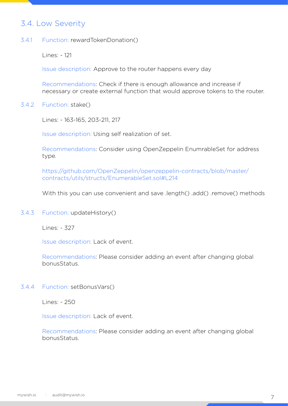### 3.4. Low Severity

Function: rewardTokenDonation() 3.4.1

Lines: - 121

Issue description: Approve to the router happens every day

Recommendations: Check if there is enough allowance and increase if necessary or create external function that would approve tokens to the router.

Function: stake() 3.4.2

Lines: - 163-165, 203-211, 217

Issue description: Using self realization of set.

Recommendations: Consider using OpenZeppelin EnumrableSet for address type.

https://github.com/OpenZeppelin/openzeppelin-contracts/blob/master/ contracts/utils/structs/EnumerableSet.sol#L214

With this you can use convenient and save .length() .add() .remove() methods

3.4.3 Function: updateHistory()

Lines: - 327

Issue description: Lack of event.

Recommendations: Please consider adding an event after changing global bonusStatus.

3.4.4 Function: setBonusVars()

Lines: - 250

Issue description: Lack of event.

Recommendations: Please consider adding an event after changing global bonusStatus.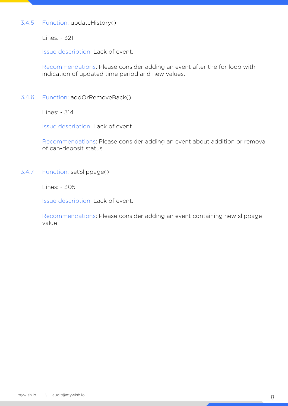#### Function: updateHistory() 3.4.5

Lines: - 321

Issue description: Lack of event.

Recommendations: Please consider adding an event after the for loop with indication of updated time period and new values.

Function: addOrRemoveBack() 3.4.6

Lines: - 314

Issue description: Lack of event.

Recommendations: Please consider adding an event about addition or removal of can-deposit status.

Function: setSlippage() 3.4.7

Lines: - 305

Issue description: Lack of event.

Recommendations: Please consider adding an event containing new slippage value